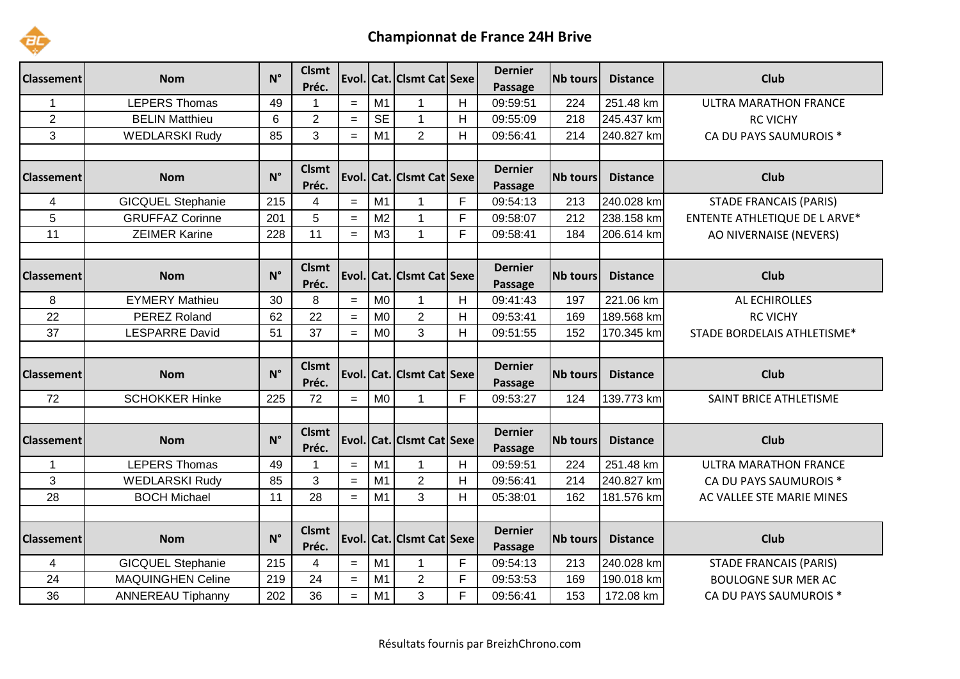

## **Championnat de France 24H Brive**

| <b>Classement</b> | <b>Nom</b>               | $N^{\circ}$ | <b>Clsmt</b><br>Préc. |     |                | Evol. Cat. Clsmt Cat Sexe |              | <b>Dernier</b><br>Passage | <b>Nb tours</b><br><b>Distance</b> |                 | <b>Club</b>                          |  |  |
|-------------------|--------------------------|-------------|-----------------------|-----|----------------|---------------------------|--------------|---------------------------|------------------------------------|-----------------|--------------------------------------|--|--|
| $\mathbf{1}$      | <b>LEPERS Thomas</b>     | 49          | 1                     | $=$ | M1             | $\overline{1}$            | H            | 09:59:51                  | 224                                | 251.48 km       | <b>ULTRA MARATHON FRANCE</b>         |  |  |
| $\overline{2}$    | <b>BELIN Matthieu</b>    | 6           | $\overline{2}$        | $=$ | <b>SE</b>      | $\mathbf{1}$              | H            | 09:55:09                  | 218                                | 245.437 km      | <b>RC VICHY</b>                      |  |  |
| 3                 | <b>WEDLARSKI Rudy</b>    | 85          | 3                     | $=$ | M1             | $\overline{2}$            | H            | 09:56:41                  | 214                                | 240.827 km      | CA DU PAYS SAUMUROIS *               |  |  |
|                   |                          |             |                       |     |                |                           |              |                           |                                    |                 |                                      |  |  |
| <b>Classement</b> | <b>Nom</b>               | $N^{\circ}$ | <b>Clsmt</b><br>Préc. |     |                | Evol. Cat. Clsmt Cat Sexe |              | <b>Dernier</b><br>Passage | <b>Nb tours</b>                    | <b>Distance</b> | <b>Club</b>                          |  |  |
| 4                 | <b>GICQUEL Stephanie</b> | 215         | $\overline{4}$        | $=$ | M1             | $\mathbf 1$               | F            | 09:54:13                  | 213                                | 240.028 km      | <b>STADE FRANCAIS (PARIS)</b>        |  |  |
| 5                 | <b>GRUFFAZ Corinne</b>   | 201         | 5                     | $=$ | M <sub>2</sub> | $\mathbf{1}$              | F            | 09:58:07                  | 212                                | 238.158 km      | <b>ENTENTE ATHLETIQUE DE L ARVE*</b> |  |  |
| 11                | <b>ZEIMER Karine</b>     | 228         | 11                    | $=$ | M3             | $\mathbf{1}$              | F            | 09:58:41                  | 184                                | 206.614 km      | AO NIVERNAISE (NEVERS)               |  |  |
|                   |                          |             |                       |     |                |                           |              |                           |                                    |                 |                                      |  |  |
| <b>Classement</b> | <b>Nom</b>               | $N^{\circ}$ | <b>Clsmt</b><br>Préc. |     |                | Evol. Cat. Clsmt Cat Sexe |              | <b>Dernier</b><br>Passage | <b>Nb tours</b>                    | <b>Distance</b> | <b>Club</b>                          |  |  |
| 8                 | <b>EYMERY Mathieu</b>    | 30          | 8                     | $=$ | M <sub>0</sub> | $\overline{1}$            | H            | 09:41:43                  | 197                                | 221.06 km       | AL ECHIROLLES                        |  |  |
| 22                | <b>PEREZ Roland</b>      | 62          | 22                    | $=$ | M <sub>0</sub> | $\overline{2}$            | H            | 09:53:41                  | 169                                | 189.568 km      | <b>RC VICHY</b>                      |  |  |
| 37                | <b>LESPARRE David</b>    | 51          | 37                    | $=$ | M <sub>0</sub> | 3                         | $\mathsf{H}$ | 09:51:55                  | 152                                | 170.345 km      | STADE BORDELAIS ATHLETISME*          |  |  |
|                   |                          |             |                       |     |                |                           |              |                           |                                    |                 |                                      |  |  |
| <b>Classement</b> | <b>Nom</b>               | $N^{\circ}$ | <b>Clsmt</b><br>Préc. |     |                | Evol. Cat. Clsmt Cat Sexe |              | <b>Dernier</b><br>Passage | <b>Nb tours</b>                    | <b>Distance</b> | <b>Club</b>                          |  |  |
| 72                | <b>SCHOKKER Hinke</b>    | 225         | 72                    | $=$ | M <sub>0</sub> | $\mathbf 1$               | $\mathsf F$  | 09:53:27                  | 124                                | 139.773 km      | SAINT BRICE ATHLETISME               |  |  |
|                   |                          |             |                       |     |                |                           |              |                           |                                    |                 |                                      |  |  |
| <b>Classement</b> | <b>Nom</b>               | $N^{\circ}$ | <b>Clsmt</b><br>Préc. |     |                | Evol. Cat. Clsmt Cat Sexe |              | <b>Dernier</b><br>Passage | <b>Nb tours</b>                    | <b>Distance</b> | <b>Club</b>                          |  |  |
| $\mathbf 1$       | <b>LEPERS Thomas</b>     | 49          | $\mathbf 1$           | $=$ | M1             | $\mathbf 1$               | H            | 09:59:51                  | 224                                | 251.48 km       | <b>ULTRA MARATHON FRANCE</b>         |  |  |
| 3                 | <b>WEDLARSKI Rudy</b>    | 85          | 3                     | $=$ | M <sub>1</sub> | $\overline{2}$            | H            | 09:56:41                  | 214                                | 240.827 km      | CA DU PAYS SAUMUROIS *               |  |  |
| 28                | <b>BOCH Michael</b>      | 11          | 28                    | $=$ | M <sub>1</sub> | 3                         | H            | 05:38:01                  | 162                                | 181.576 km      | AC VALLEE STE MARIE MINES            |  |  |
|                   |                          |             |                       |     |                |                           |              |                           |                                    |                 |                                      |  |  |
| <b>Classement</b> | <b>Nom</b>               | $N^{\circ}$ | <b>Clsmt</b><br>Préc. |     |                | Evol. Cat. Clsmt Cat Sexe |              | <b>Dernier</b><br>Passage | <b>Nb tours</b>                    | <b>Distance</b> | <b>Club</b>                          |  |  |
| 4                 | <b>GICQUEL Stephanie</b> | 215         | 4                     | $=$ | M <sub>1</sub> | $\overline{1}$            | F            | 09:54:13                  | 213                                | 240.028 km      | <b>STADE FRANCAIS (PARIS)</b>        |  |  |
| 24                | <b>MAQUINGHEN Celine</b> | 219         | 24                    | $=$ | M <sub>1</sub> | $\overline{2}$            | F            | 09:53:53                  | 169                                | 190.018 km      | <b>BOULOGNE SUR MER AC</b>           |  |  |
| 36                | <b>ANNEREAU Tiphanny</b> | 202         | 36                    | $=$ | M1             | 3                         | F            | 09:56:41                  | 153                                | 172.08 km       | CA DU PAYS SAUMUROIS *               |  |  |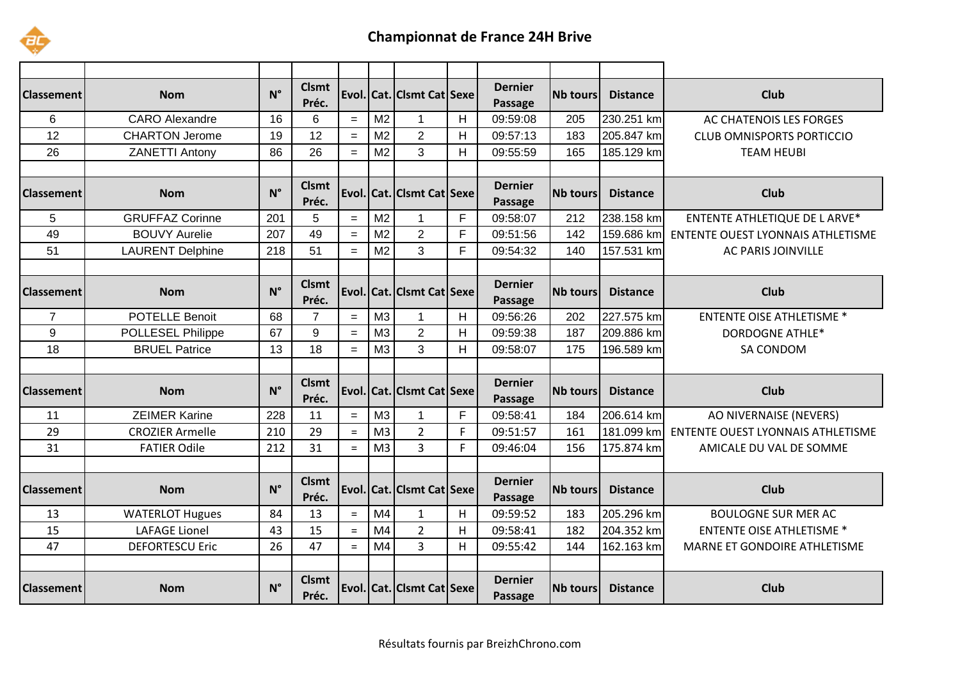

| <b>Classement</b> | <b>Nom</b>              | $N^{\circ}$ | <b>Clsmt</b><br>Préc. |       |                | Evol. Cat. Clsmt Cat Sexe |                         | <b>Dernier</b><br>Passage        | <b>Nb tours</b> | <b>Distance</b> | <b>Club</b>                              |  |
|-------------------|-------------------------|-------------|-----------------------|-------|----------------|---------------------------|-------------------------|----------------------------------|-----------------|-----------------|------------------------------------------|--|
| 6                 | <b>CARO Alexandre</b>   | 16          | 6                     | $=$   | M <sub>2</sub> | $\overline{1}$            | H                       | 09:59:08                         | 205             | 230.251 km      | AC CHATENOIS LES FORGES                  |  |
| 12                | <b>CHARTON Jerome</b>   | 19          | 12                    | $=$   | M <sub>2</sub> | $\overline{2}$            | H                       | 09:57:13                         | 183             | 205.847 km      | <b>CLUB OMNISPORTS PORTICCIO</b>         |  |
| 26                | <b>ZANETTI Antony</b>   | 86          | 26                    | $=$   | M <sub>2</sub> | 3                         | H                       | 09:55:59                         | 165             | 185.129 km      | <b>TEAM HEUBI</b>                        |  |
| <b>Classement</b> | <b>Nom</b>              | $N^{\circ}$ | <b>Clsmt</b><br>Préc. | Evol. |                | Cat. Clsmt Cat Sexe       |                         | <b>Dernier</b><br>Passage        | <b>Nb tours</b> | <b>Distance</b> | <b>Club</b>                              |  |
| 5                 | <b>GRUFFAZ Corinne</b>  | 201         | 5                     | $=$   | M <sub>2</sub> | $\blacktriangleleft$      | F                       | 09:58:07                         | 212             | 238.158 km      | <b>ENTENTE ATHLETIQUE DE L ARVE*</b>     |  |
| 49                | <b>BOUVY Aurelie</b>    | 207         | 49                    | $=$   | M <sub>2</sub> | $\overline{2}$            | F                       | 09:51:56                         | 142             | 159.686 km      | <b>ENTENTE OUEST LYONNAIS ATHLETISME</b> |  |
| 51                | <b>LAURENT Delphine</b> | 218         | 51                    | $=$   | M <sub>2</sub> | 3                         | F                       | 09:54:32                         | 140             | 157.531 km      | AC PARIS JOINVILLE                       |  |
|                   |                         |             |                       |       |                |                           |                         |                                  |                 |                 |                                          |  |
| <b>Classement</b> | <b>Nom</b>              | $N^{\circ}$ | <b>Clsmt</b><br>Préc. |       |                | Evol. Cat. Clsmt Cat Sexe |                         | <b>Dernier</b><br>Passage        | <b>Nb tours</b> | <b>Distance</b> | <b>Club</b>                              |  |
| $\overline{7}$    | <b>POTELLE Benoit</b>   | 68          | $\overline{7}$        | $=$   | M3             | $\mathbf{1}$              | H                       | 09:56:26                         | 202             | 227.575 km      | <b>ENTENTE OISE ATHLETISME *</b>         |  |
| 9                 | POLLESEL Philippe       | 67          | 9                     | $=$   | M3             | $\overline{2}$            | H                       | 09:59:38                         | 187             | 209.886 km      | <b>DORDOGNE ATHLE*</b>                   |  |
| 18                | <b>BRUEL Patrice</b>    | 13          | 18                    | $=$   | M <sub>3</sub> | 3                         | H                       | 09:58:07                         | 175             | 196.589 km      | SA CONDOM                                |  |
|                   |                         |             |                       |       |                |                           |                         |                                  |                 |                 |                                          |  |
| <b>Classement</b> | <b>Nom</b>              | $N^{\circ}$ | <b>Clsmt</b><br>Préc. |       |                | Evol. Cat. Clsmt Cat Sexe |                         | <b>Dernier</b><br>Passage        | <b>Nb tours</b> | <b>Distance</b> | <b>Club</b>                              |  |
| 11                | <b>ZEIMER Karine</b>    | 228         | 11                    | $=$   | M <sub>3</sub> | $\mathbf{1}$              | F                       | 09:58:41                         | 184             | 206.614 km      | <b>AO NIVERNAISE (NEVERS)</b>            |  |
| 29                | <b>CROZIER Armelle</b>  | 210         | 29                    | $=$   | M <sub>3</sub> | $\overline{2}$            | F                       | 09:51:57                         | 161             | 181.099 km      | ENTENTE OUEST LYONNAIS ATHLETISME        |  |
| 31                | <b>FATIER Odile</b>     | 212         | 31                    | $=$   | M <sub>3</sub> | 3                         | F                       | 09:46:04                         | 156             | 175.874 km      | AMICALE DU VAL DE SOMME                  |  |
|                   |                         |             |                       |       |                |                           |                         |                                  |                 |                 |                                          |  |
| <b>Classement</b> | <b>Nom</b>              | $N^{\circ}$ | <b>Clsmt</b><br>Préc. |       |                | Evol. Cat. Clsmt Cat Sexe |                         | <b>Dernier</b><br>Passage        | <b>Nb tours</b> | <b>Distance</b> | <b>Club</b>                              |  |
| 13                | <b>WATERLOT Hugues</b>  | 84          | 13                    | $=$   | M <sub>4</sub> | $\mathbf{1}$              | H                       | 09:59:52                         | 183             | 205.296 km      | <b>BOULOGNE SUR MER AC</b>               |  |
| 15                | <b>LAFAGE Lionel</b>    | 43          | 15                    | $=$   | M <sub>4</sub> | $\overline{2}$            | H                       | 09:58:41                         | 182             | 204.352 km      | <b>ENTENTE OISE ATHLETISME *</b>         |  |
| 47                | <b>DEFORTESCU Eric</b>  | 26          | 47                    | $=$   | M <sub>4</sub> | 3                         | $\overline{\mathsf{H}}$ | 09:55:42                         | 144             | 162.163 km      | MARNE ET GONDOIRE ATHLETISME             |  |
|                   |                         |             |                       |       |                |                           |                         |                                  |                 |                 |                                          |  |
| <b>Classement</b> | <b>Nom</b>              | $N^{\circ}$ | <b>Clsmt</b><br>Préc. |       |                | Evol. Cat. Clsmt Cat Sexe |                         | <b>Dernier</b><br><b>Passage</b> | <b>Nb tours</b> | <b>Distance</b> | <b>Club</b>                              |  |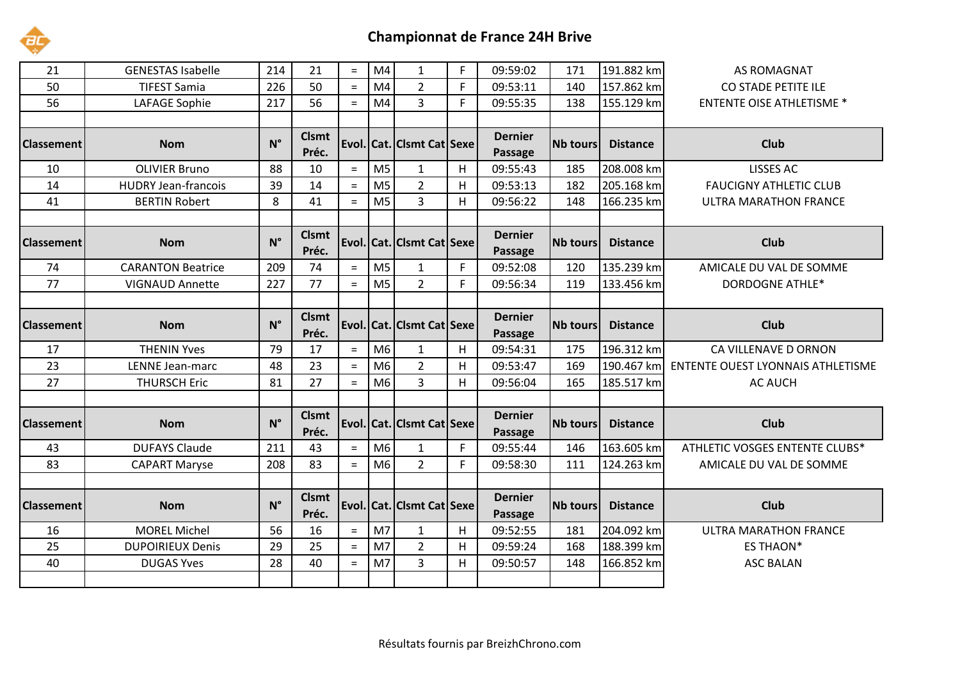

| 21                | <b>GENESTAS Isabelle</b>   | 214         | 21                    | $=$ | M4             | $\mathbf{1}$              | F.           | 09:59:02                  | 171             | 191.882 km      | <b>AS ROMAGNAT</b>                |  |  |  |
|-------------------|----------------------------|-------------|-----------------------|-----|----------------|---------------------------|--------------|---------------------------|-----------------|-----------------|-----------------------------------|--|--|--|
| 50                | <b>TIFEST Samia</b>        | 226         | 50                    | $=$ | M <sub>4</sub> | $\overline{2}$            | F            | 09:53:11                  | 140             | 157.862 km      | CO STADE PETITE ILE               |  |  |  |
| 56                | LAFAGE Sophie              | 217         | 56                    | $=$ | M <sub>4</sub> | 3                         | F.           | 09:55:35                  | 138             | 155.129 km      | <b>ENTENTE OISE ATHLETISME *</b>  |  |  |  |
|                   |                            |             |                       |     |                |                           |              |                           |                 |                 |                                   |  |  |  |
| <b>Classement</b> | <b>Nom</b>                 | $N^{\circ}$ | <b>Clsmt</b><br>Préc. |     |                | Evol. Cat. Clsmt Cat Sexe |              | <b>Dernier</b><br>Passage | <b>Nb tours</b> | <b>Distance</b> | <b>Club</b>                       |  |  |  |
| 10                | <b>OLIVIER Bruno</b>       | 88          | 10                    | $=$ | M <sub>5</sub> | $\mathbf{1}$              | H            | 09:55:43                  | 185             | 208.008 km      | <b>LISSES AC</b>                  |  |  |  |
| 14                | <b>HUDRY Jean-francois</b> | 39          | 14                    | $=$ | M <sub>5</sub> | $\overline{2}$            | H            | 09:53:13                  | 182             | 205.168 km      | <b>FAUCIGNY ATHLETIC CLUB</b>     |  |  |  |
| 41                | <b>BERTIN Robert</b>       | 8           | 41                    | $=$ | M <sub>5</sub> | $\overline{3}$            | Н            | 09:56:22                  | 148             | 166.235 km      | <b>ULTRA MARATHON FRANCE</b>      |  |  |  |
|                   |                            |             |                       |     |                |                           |              |                           |                 |                 |                                   |  |  |  |
| <b>Classement</b> | <b>Nom</b>                 | $N^{\circ}$ | <b>Clsmt</b><br>Préc. |     |                | Evol. Cat. Clsmt Cat Sexe |              | <b>Dernier</b><br>Passage | <b>Nb tours</b> | <b>Distance</b> | <b>Club</b>                       |  |  |  |
| 74                | <b>CARANTON Beatrice</b>   | 209         | 74                    | $=$ | M <sub>5</sub> | $\mathbf{1}$              | F            | 09:52:08                  | 120             | 135.239 km      | AMICALE DU VAL DE SOMME           |  |  |  |
| 77                | <b>VIGNAUD Annette</b>     | 227         | 77                    | $=$ | M <sub>5</sub> | $\overline{2}$            | F            | 09:56:34                  | 119             | 133.456 km      | <b>DORDOGNE ATHLE*</b>            |  |  |  |
|                   |                            |             |                       |     |                |                           |              |                           |                 |                 |                                   |  |  |  |
| <b>Classement</b> | <b>Nom</b>                 | $N^{\circ}$ | <b>Clsmt</b><br>Préc. |     |                | Evol. Cat. Clsmt Cat Sexe |              | <b>Dernier</b><br>Passage | <b>Nb tours</b> | <b>Distance</b> | <b>Club</b>                       |  |  |  |
| 17                | <b>THENIN Yves</b>         | 79          | 17                    | $=$ | M <sub>6</sub> | $\mathbf{1}$              | H            | 09:54:31                  | 175             | 196.312 km      | CA VILLENAVE D ORNON              |  |  |  |
| 23                | LENNE Jean-marc            | 48          | 23                    | $=$ | M <sub>6</sub> | $\overline{2}$            | H            | 09:53:47                  | 169             | 190.467 km      | ENTENTE OUEST LYONNAIS ATHLETISME |  |  |  |
| 27                | <b>THURSCH Eric</b>        | 81          | 27                    | $=$ | M <sub>6</sub> | $\overline{3}$            | H            | 09:56:04                  | 165             | 185.517 km      | <b>AC AUCH</b>                    |  |  |  |
|                   |                            |             |                       |     |                |                           |              |                           |                 |                 |                                   |  |  |  |
| <b>Classement</b> | <b>Nom</b>                 | $N^{\circ}$ | <b>Clsmt</b><br>Préc. |     |                | Evol. Cat. Clsmt Cat Sexe |              | <b>Dernier</b><br>Passage | <b>Nb tours</b> | <b>Distance</b> | <b>Club</b>                       |  |  |  |
| 43                | <b>DUFAYS Claude</b>       | 211         | 43                    | $=$ | M <sub>6</sub> | $\mathbf{1}$              | $\mathsf{F}$ | 09:55:44                  | 146             | 163.605 km      | ATHLETIC VOSGES ENTENTE CLUBS*    |  |  |  |
| 83                | <b>CAPART Maryse</b>       | 208         | 83                    | $=$ | M <sub>6</sub> | $\overline{2}$            | F            | 09:58:30                  | 111             | 124.263 km      | AMICALE DU VAL DE SOMME           |  |  |  |
|                   |                            |             |                       |     |                |                           |              |                           |                 |                 |                                   |  |  |  |
| <b>Classement</b> | <b>Nom</b>                 | $N^{\circ}$ | <b>Clsmt</b><br>Préc. |     |                | Evol. Cat. Clsmt Cat Sexe |              | <b>Dernier</b><br>Passage | <b>Nb tours</b> | <b>Distance</b> | <b>Club</b>                       |  |  |  |
| 16                | <b>MOREL Michel</b>        | 56          | 16                    | $=$ | M <sub>7</sub> | $\mathbf{1}$              | H            | 09:52:55                  | 181             | 204.092 km      | <b>ULTRA MARATHON FRANCE</b>      |  |  |  |
| 25                | <b>DUPOIRIEUX Denis</b>    | 29          | 25                    | $=$ | M <sub>7</sub> | $\overline{2}$            | H            | 09:59:24                  | 168             | 188.399 km      | <b>ES THAON*</b>                  |  |  |  |
| 40                | <b>DUGAS Yves</b>          | 28          | 40                    | $=$ | M7             | $\overline{3}$            | $\mathsf{H}$ | 09:50:57                  | 148             | 166.852 km      | <b>ASC BALAN</b>                  |  |  |  |
|                   |                            |             |                       |     |                |                           |              |                           |                 |                 |                                   |  |  |  |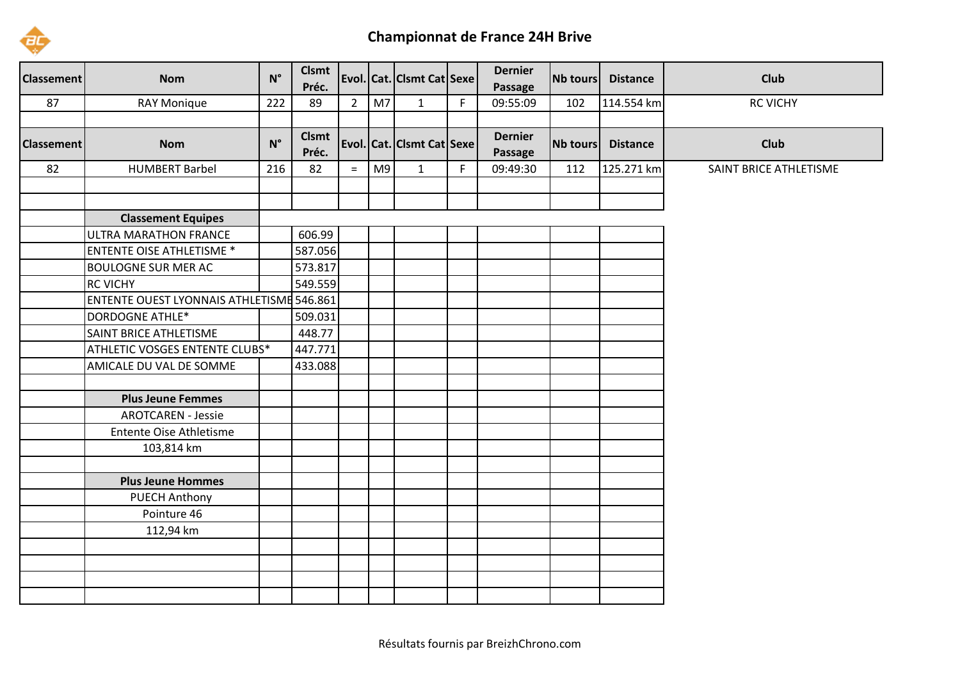

## **Championnat de France 24H Brive**

| <b>Classement</b> | <b>Nom</b>                                | $N^{\circ}$ | <b>Clsmt</b><br>Préc. |             |                | Evol. Cat. Clsmt Cat Sexe |   | <b>Dernier</b><br>Passage | Nb tours        | <b>Distance</b> | <b>Club</b>            |
|-------------------|-------------------------------------------|-------------|-----------------------|-------------|----------------|---------------------------|---|---------------------------|-----------------|-----------------|------------------------|
| 87                | <b>RAY Monique</b>                        | 222         | 89                    | $2^{\circ}$ | M7             | $\mathbf{1}$              | F | 09:55:09                  | 102             | 114.554 km      | <b>RC VICHY</b>        |
|                   |                                           |             |                       |             |                |                           |   |                           |                 |                 |                        |
| <b>Classement</b> | <b>Nom</b>                                | $N^{\circ}$ | <b>Clsmt</b><br>Préc. |             |                | Evol. Cat. Clsmt Cat Sexe |   | <b>Dernier</b><br>Passage | <b>Nb tours</b> | <b>Distance</b> | <b>Club</b>            |
| 82                | <b>HUMBERT Barbel</b>                     | 216         | 82                    | $=$         | M <sub>9</sub> | $\mathbf{1}$              | F | 09:49:30                  | 112             | 125.271 km      | SAINT BRICE ATHLETISME |
|                   |                                           |             |                       |             |                |                           |   |                           |                 |                 |                        |
|                   |                                           |             |                       |             |                |                           |   |                           |                 |                 |                        |
|                   | <b>Classement Equipes</b>                 |             |                       |             |                |                           |   |                           |                 |                 |                        |
|                   | <b>ULTRA MARATHON FRANCE</b>              |             | 606.99                |             |                |                           |   |                           |                 |                 |                        |
|                   | <b>ENTENTE OISE ATHLETISME *</b>          |             | 587.056               |             |                |                           |   |                           |                 |                 |                        |
|                   | <b>BOULOGNE SUR MER AC</b>                |             | 573.817               |             |                |                           |   |                           |                 |                 |                        |
|                   | <b>RC VICHY</b>                           |             | 549.559               |             |                |                           |   |                           |                 |                 |                        |
|                   | ENTENTE OUEST LYONNAIS ATHLETISME 546.861 |             |                       |             |                |                           |   |                           |                 |                 |                        |
|                   | <b>DORDOGNE ATHLE*</b>                    |             | 509.031               |             |                |                           |   |                           |                 |                 |                        |
|                   | SAINT BRICE ATHLETISME                    |             | 448.77                |             |                |                           |   |                           |                 |                 |                        |
|                   | ATHLETIC VOSGES ENTENTE CLUBS*            |             | 447.771               |             |                |                           |   |                           |                 |                 |                        |
|                   | AMICALE DU VAL DE SOMME                   |             | 433.088               |             |                |                           |   |                           |                 |                 |                        |
|                   |                                           |             |                       |             |                |                           |   |                           |                 |                 |                        |
|                   | <b>Plus Jeune Femmes</b>                  |             |                       |             |                |                           |   |                           |                 |                 |                        |
|                   | <b>AROTCAREN - Jessie</b>                 |             |                       |             |                |                           |   |                           |                 |                 |                        |
|                   | Entente Oise Athletisme                   |             |                       |             |                |                           |   |                           |                 |                 |                        |
|                   | 103,814 km                                |             |                       |             |                |                           |   |                           |                 |                 |                        |
|                   |                                           |             |                       |             |                |                           |   |                           |                 |                 |                        |
|                   | <b>Plus Jeune Hommes</b>                  |             |                       |             |                |                           |   |                           |                 |                 |                        |
|                   | <b>PUECH Anthony</b>                      |             |                       |             |                |                           |   |                           |                 |                 |                        |
|                   | Pointure 46                               |             |                       |             |                |                           |   |                           |                 |                 |                        |
|                   | 112,94 km                                 |             |                       |             |                |                           |   |                           |                 |                 |                        |
|                   |                                           |             |                       |             |                |                           |   |                           |                 |                 |                        |
|                   |                                           |             |                       |             |                |                           |   |                           |                 |                 |                        |
|                   |                                           |             |                       |             |                |                           |   |                           |                 |                 |                        |
|                   |                                           |             |                       |             |                |                           |   |                           |                 |                 |                        |